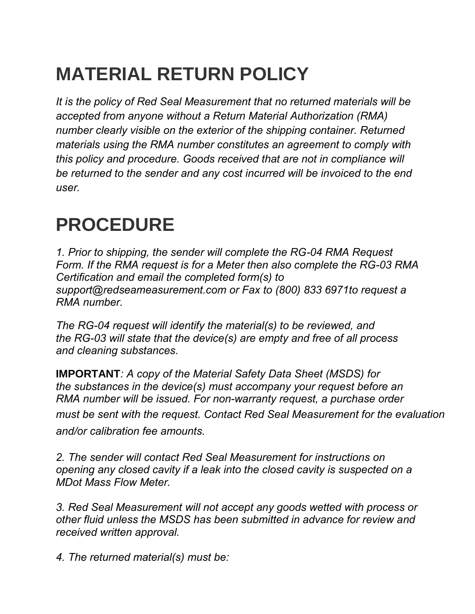## **MATERIAL RETURN POLICY**

*It is the policy of Red Seal Measurement that no returned materials will be accepted from anyone without a Return Material Authorization (RMA) number clearly visible on the exterior of the shipping container. Returned materials using the RMA number constitutes an agreement to comply with this policy and procedure. Goods received that are not in compliance will be returned to the sender and any cost incurred will be invoiced to the end user.* 

## **PROCEDURE**

*1. Prior to shipping, the sender will complete the RG-04 RMA Request Form. If the RMA request is for a Meter then also complete the RG-03 RMA Certification and email the completed form(s) to support@redseameasurement.com or Fax to (800) 833 6971to request a RMA number.* 

*The RG-04 request will identify the material(s) to be reviewed, and the RG-03 will state that the device(s) are empty and free of all process and cleaning substances.* 

**IMPORTANT***: A copy of the Material Safety Data Sheet (MSDS) for the substances in the device(s) must accompany your request before an RMA number will be issued. For non-warranty request, a purchase order must be sent with the request. Contact Red Seal Measurement for the evaluation and/or calibration fee amounts.* 

*2. The sender will contact Red Seal Measurement for instructions on opening any closed cavity if a leak into the closed cavity is suspected on a MDot Mass Flow Meter.* 

*3. Red Seal Measurement will not accept any goods wetted with process or other fluid unless the MSDS has been submitted in advance for review and received written approval.* 

*4. The returned material(s) must be:*